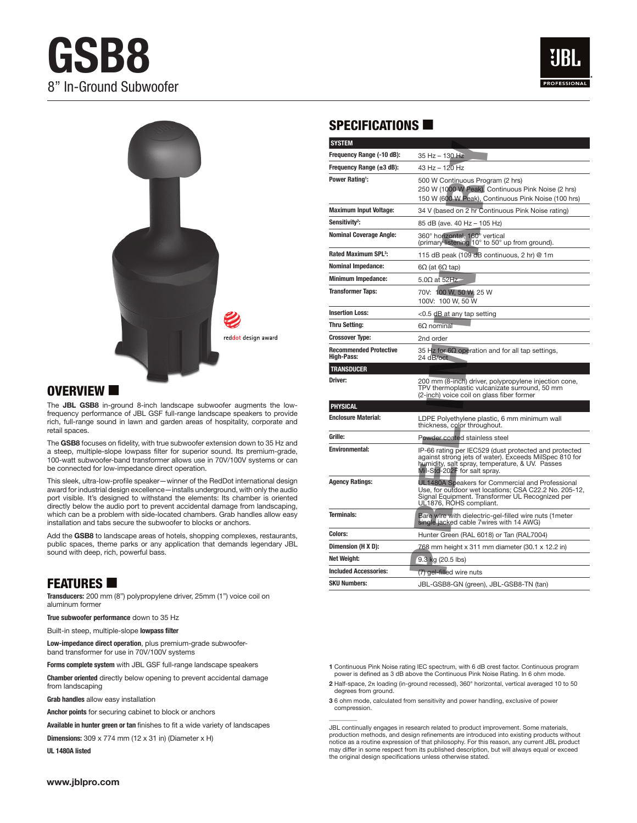# **GSB8** 8" In-Ground Subwoofer





#### OVERVIEW **18**

The **JBL GSB8** in-ground 8-inch landscape subwoofer augments the lowfrequency performance of JBL GSF full-range landscape speakers to provide rich, full-range sound in lawn and garden areas of hospitality, corporate and retail spaces.

The **GSB8** focuses on fidelity, with true subwoofer extension down to 35 Hz and a steep, multiple-slope lowpass filter for superior sound. Its premium-grade, 100-watt subwoofer-band transformer allows use in 70V/100V systems or can be connected for low-impedance direct operation.

This sleek, ultra-low-profile speaker—winner of the RedDot international design award for industrial design excellence—installs underground, with only the audio port visible. It's designed to withstand the elements: Its chamber is oriented directly below the audio port to prevent accidental damage from landscaping, which can be a problem with side-located chambers. Grab handles allow easy installation and tabs secure the subwoofer to blocks or anchors.

Add the **GSB8** to landscape areas of hotels, shopping complexes, restaurants, public spaces, theme parks or any application that demands legendary JBL sound with deep, rich, powerful bass.

#### **FEATURES**

**Transducers:** 200 mm (8") polypropylene driver, 25mm (1") voice coil on aluminum former

**True subwoofer performance** down to 35 Hz

Built-in steep, multiple-slope **lowpass filter**

**Low-impedance direct operation**, plus premium-grade subwooferband transformer for use in 70V/100V systems

**Forms complete system** with JBL GSF full-range landscape speakers

**Chamber oriented** directly below opening to prevent accidental damage from landscaping

**Grab handles** allow easy installation

**Anchor points** for securing cabinet to block or anchors

**Available in hunter green or tan** finishes to fit a wide variety of landscapes

**Dimensions:** 309 x 774 mm (12 x 31 in) (Diameter x H)

**UL 1480A listed**

### SPECIFICATIONS  $\blacksquare$

| <b>SYSTEM</b>                                      |                                                                                                                                                                                                    |
|----------------------------------------------------|----------------------------------------------------------------------------------------------------------------------------------------------------------------------------------------------------|
| Frequency Range (-10 dB):                          | 35 Hz - 130 Hz                                                                                                                                                                                     |
| Frequency Range $(\pm 3$ dB):                      | 43 Hz - 120 Hz                                                                                                                                                                                     |
| Power Rating <sup>1</sup> :                        | 500 W Continuous Program (2 hrs)<br>250 W (1000 W Peak), Continuous Pink Noise (2 hrs)<br>150 W (600 W Peak), Continuous Pink Noise (100 hrs)                                                      |
| <b>Maximum Input Voltage:</b>                      | 34 V (based on 2 hr Continuous Pink Noise rating)                                                                                                                                                  |
| Sensitivity <sup>2</sup> :                         | 85 dB (ave. 40 Hz - 105 Hz)                                                                                                                                                                        |
| <b>Nominal Coverage Angle:</b>                     | 360° horizontal, 160° vertical<br>(primary listening 10° to 50° up from ground).                                                                                                                   |
| <b>Rated Maximum SPL<sup>3</sup>:</b>              | 115 dB peak (109 dB continuous, 2 hr) @ 1m                                                                                                                                                         |
| <b>Nominal Impedance:</b>                          | 6Ω (at 6Ω tap)                                                                                                                                                                                     |
| <b>Minimum Impedance:</b>                          | $5.0\Omega$ at $52Hz$                                                                                                                                                                              |
| <b>Transformer Taps:</b>                           | 70V: 100 W, 50 W, 25 W<br>100V: 100 W, 50 W                                                                                                                                                        |
| <b>Insertion Loss:</b>                             | <0.5 dB at any tap setting                                                                                                                                                                         |
| <b>Thru Setting:</b>                               | 6Ω nominal                                                                                                                                                                                         |
| <b>Crossover Type:</b>                             | 2nd order                                                                                                                                                                                          |
| <b>Recommended Protective</b><br><b>High-Pass:</b> | 35 Hz for $6\Omega$ operation and for all tap settings,<br>24 dB/oct                                                                                                                               |
| <b>TRANSDUCER</b>                                  |                                                                                                                                                                                                    |
| Driver:                                            | 200 mm (8-inch) driver, polypropylene injection cone,<br>TPV thermoplastic vulcanizate surround, 50 mm<br>(2-inch) voice coil on glass fiber former                                                |
| <b>PHYSICAL</b>                                    |                                                                                                                                                                                                    |
| <b>Enclosure Material:</b>                         | LDPE Polyethylene plastic, 6 mm minimum wall<br>thickness, color throughout.                                                                                                                       |
| Grille:                                            | Powder coated stainless steel                                                                                                                                                                      |
| <b>Environmental:</b>                              | IP-66 rating per IEC529 (dust protected and protected<br>against strong jets of water). Exceeds MilSpec 810 for<br>humidity, salt spray, temperature, & UV. Passes<br>Mil-Std-202F for salt spray. |
| <b>Agency Ratings:</b>                             | UL1480A Speakers for Commercial and Professional<br>Use, for outdoor wet locations; CSA C22.2 No. 205-12,<br>Signal Equipment. Transformer UL Recognized per<br>UL1876, ROHS compliant.            |
| <b>Terminals:</b>                                  | Bare wire with dielectric-gel-filled wire nuts (1 meter<br>single jacked cable 7 wires with 14 AWG)                                                                                                |
| Colors:                                            | Hunter Green (RAL 6018) or Tan (RAL7004)                                                                                                                                                           |
| Dimension (H X D):                                 | 768 mm height x 311 mm diameter (30.1 x 12.2 in)                                                                                                                                                   |
| <b>Net Weight:</b>                                 | 9.3 kg (20.5 lbs)                                                                                                                                                                                  |
| <b>Included Accessories:</b>                       | (7) gel-filled wire nuts                                                                                                                                                                           |
| <b>SKU Numbers:</b>                                | JBL-GSB8-GN (green), JBL-GSB8-TN (tan)                                                                                                                                                             |

**1** Continuous Pink Noise rating IEC spectrum, with 6 dB crest factor. Continuous program power is defined as 3 dB above the Continuous Pink Noise Rating. In 6 ohm mode

**2** Half-space, 2π loading (in-ground recessed), 360° horizontal, vertical averaged 10 to 50 degrees from ground.

**3** 6 ohm mode, calculated from sensitivity and power handling, exclusive of power compression.

 $\overline{\phantom{a}}$ 

JBL continually engages in research related to product improvement. Some materials, production methods, and design refinements are introduced into existing products without notice as a routine expression of that philosophy. For this reason, any current JBL product may differ in some respect from its published description, but will always equal or exceed the original design specifications unless otherwise stated.